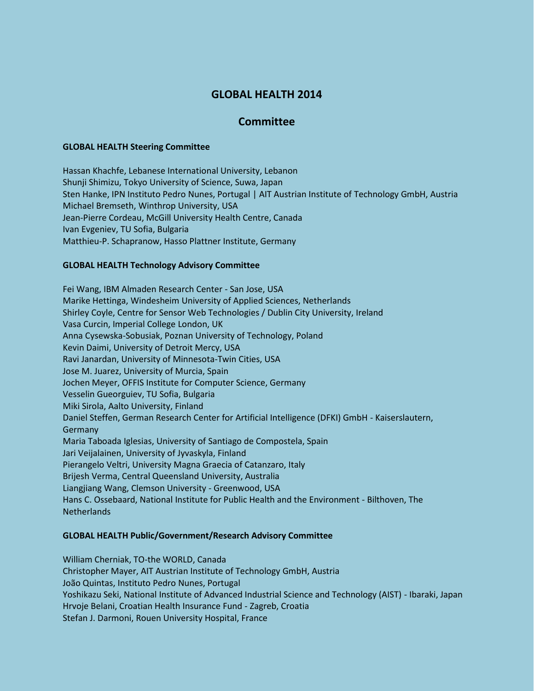# **GLOBAL HEALTH 2014**

## **Committee**

#### **GLOBAL HEALTH Steering Committee**

Hassan Khachfe, Lebanese International University, Lebanon Shunji Shimizu, Tokyo University of Science, Suwa, Japan Sten Hanke, IPN Instituto Pedro Nunes, Portugal | AIT Austrian Institute of Technology GmbH, Austria Michael Bremseth, Winthrop University, USA Jean-Pierre Cordeau, McGill University Health Centre, Canada Ivan Evgeniev, TU Sofia, Bulgaria Matthieu-P. Schapranow, Hasso Plattner Institute, Germany

#### **GLOBAL HEALTH Technology Advisory Committee**

Fei Wang, IBM Almaden Research Center - San Jose, USA Marike Hettinga, Windesheim University of Applied Sciences, Netherlands Shirley Coyle, Centre for Sensor Web Technologies / Dublin City University, Ireland Vasa Curcin, Imperial College London, UK Anna Cysewska-Sobusiak, Poznan University of Technology, Poland Kevin Daimi, University of Detroit Mercy, USA Ravi Janardan, University of Minnesota-Twin Cities, USA Jose M. Juarez, University of Murcia, Spain Jochen Meyer, OFFIS Institute for Computer Science, Germany Vesselin Gueorguiev, TU Sofia, Bulgaria Miki Sirola, Aalto University, Finland Daniel Steffen, German Research Center for Artificial Intelligence (DFKI) GmbH - Kaiserslautern, Germany Maria Taboada Iglesias, University of Santiago de Compostela, Spain Jari Veijalainen, University of Jyvaskyla, Finland Pierangelo Veltri, University Magna Graecia of Catanzaro, Italy Brijesh Verma, Central Queensland University, Australia Liangjiang Wang, Clemson University - Greenwood, USA Hans C. Ossebaard, National Institute for Public Health and the Environment - Bilthoven, The Netherlands

#### **GLOBAL HEALTH Public/Government/Research Advisory Committee**

William Cherniak, TO-the WORLD, Canada Christopher Mayer, AIT Austrian Institute of Technology GmbH, Austria João Quintas, Instituto Pedro Nunes, Portugal Yoshikazu Seki, National Institute of Advanced Industrial Science and Technology (AIST) - Ibaraki, Japan Hrvoje Belani, Croatian Health Insurance Fund - Zagreb, Croatia Stefan J. Darmoni, Rouen University Hospital, France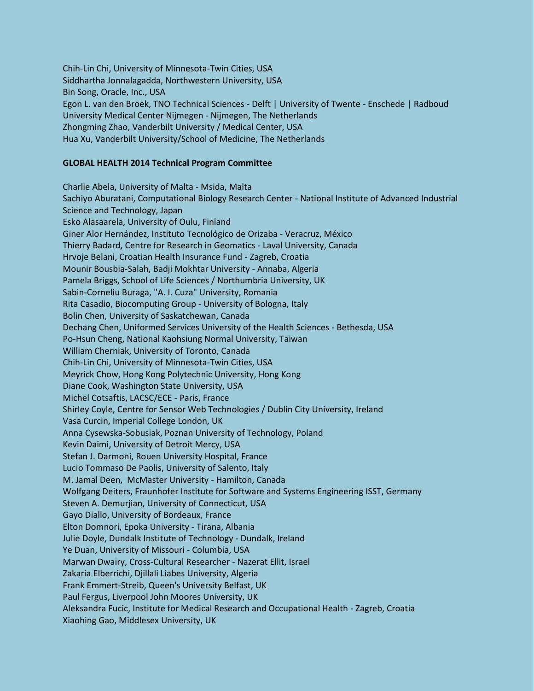Chih-Lin Chi, University of Minnesota-Twin Cities, USA Siddhartha Jonnalagadda, Northwestern University, USA Bin Song, Oracle, Inc., USA Egon L. van den Broek, TNO Technical Sciences - Delft | University of Twente - Enschede | Radboud University Medical Center Nijmegen - Nijmegen, The Netherlands Zhongming Zhao, Vanderbilt University / Medical Center, USA Hua Xu, Vanderbilt University/School of Medicine, The Netherlands

### **GLOBAL HEALTH 2014 Technical Program Committee**

Charlie Abela, University of Malta - Msida, Malta Sachiyo Aburatani, Computational Biology Research Center - National Institute of Advanced Industrial Science and Technology, Japan Esko Alasaarela, University of Oulu, Finland Giner Alor Hernández, Instituto Tecnológico de Orizaba - Veracruz, México Thierry Badard, Centre for Research in Geomatics - Laval University, Canada Hrvoje Belani, Croatian Health Insurance Fund - Zagreb, Croatia Mounir Bousbia-Salah, Badji Mokhtar University - Annaba, Algeria Pamela Briggs, School of Life Sciences / Northumbria University, UK Sabin-Corneliu Buraga, "A. I. Cuza" University, Romania Rita Casadio, Biocomputing Group - University of Bologna, Italy Bolin Chen, University of Saskatchewan, Canada Dechang Chen, Uniformed Services University of the Health Sciences - Bethesda, USA Po-Hsun Cheng, National Kaohsiung Normal University, Taiwan William Cherniak, University of Toronto, Canada Chih-Lin Chi, University of Minnesota-Twin Cities, USA Meyrick Chow, Hong Kong Polytechnic University, Hong Kong Diane Cook, Washington State University, USA Michel Cotsaftis, LACSC/ECE - Paris, France Shirley Coyle, Centre for Sensor Web Technologies / Dublin City University, Ireland Vasa Curcin, Imperial College London, UK Anna Cysewska-Sobusiak, Poznan University of Technology, Poland Kevin Daimi, University of Detroit Mercy, USA Stefan J. Darmoni, Rouen University Hospital, France Lucio Tommaso De Paolis, University of Salento, Italy M. Jamal Deen, McMaster University - Hamilton, Canada Wolfgang Deiters, Fraunhofer Institute for Software and Systems Engineering ISST, Germany Steven A. Demurjian, University of Connecticut, USA Gayo Diallo, University of Bordeaux, France Elton Domnori, Epoka University - Tirana, Albania Julie Doyle, Dundalk Institute of Technology - Dundalk, Ireland Ye Duan, University of Missouri - Columbia, USA Marwan Dwairy, Cross-Cultural Researcher - Nazerat Ellit, Israel Zakaria Elberrichi, Djillali Liabes University, Algeria Frank Emmert-Streib, Queen's University Belfast, UK Paul Fergus, Liverpool John Moores University, UK Aleksandra Fucic, Institute for Medical Research and Occupational Health - Zagreb, Croatia Xiaohing Gao, Middlesex University, UK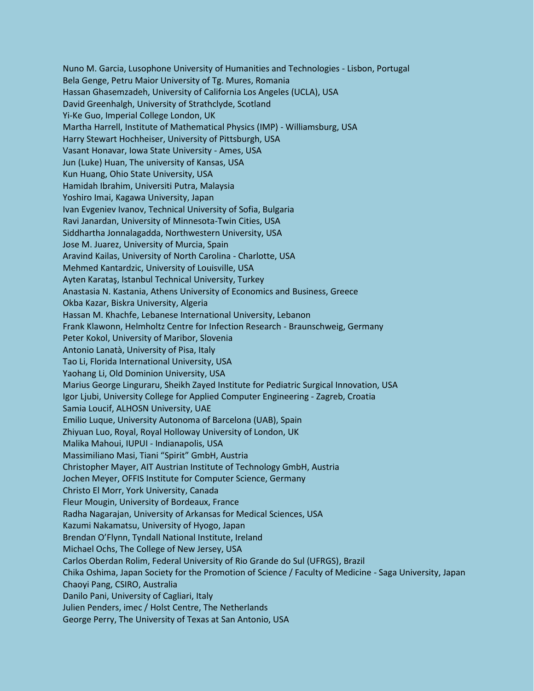Nuno M. Garcia, Lusophone University of Humanities and Technologies - Lisbon, Portugal Bela Genge, Petru Maior University of Tg. Mures, Romania Hassan Ghasemzadeh, University of California Los Angeles (UCLA), USA David Greenhalgh, University of Strathclyde, Scotland Yi-Ke Guo, Imperial College London, UK Martha Harrell, Institute of Mathematical Physics (IMP) - Williamsburg, USA Harry Stewart Hochheiser, University of Pittsburgh, USA Vasant Honavar, Iowa State University - Ames, USA Jun (Luke) Huan, The university of Kansas, USA Kun Huang, Ohio State University, USA Hamidah Ibrahim, Universiti Putra, Malaysia Yoshiro Imai, Kagawa University, Japan Ivan Evgeniev Ivanov, Technical University of Sofia, Bulgaria Ravi Janardan, University of Minnesota-Twin Cities, USA Siddhartha Jonnalagadda, Northwestern University, USA Jose M. Juarez, University of Murcia, Spain Aravind Kailas, University of North Carolina - Charlotte, USA Mehmed Kantardzic, University of Louisville, USA Ayten Karataş, Istanbul Technical University, Turkey Anastasia N. Kastania, Athens University of Economics and Business, Greece Okba Kazar, Biskra University, Algeria Hassan M. Khachfe, Lebanese International University, Lebanon Frank Klawonn, Helmholtz Centre for Infection Research - Braunschweig, Germany Peter Kokol, University of Maribor, Slovenia Antonio Lanatà, University of Pisa, Italy Tao Li, Florida International University, USA Yaohang Li, Old Dominion University, USA Marius George Linguraru, Sheikh Zayed Institute for Pediatric Surgical Innovation, USA Igor Ljubi, University College for Applied Computer Engineering - Zagreb, Croatia Samia Loucif, ALHOSN University, UAE Emilio Luque, University Autonoma of Barcelona (UAB), Spain Zhiyuan Luo, Royal, Royal Holloway University of London, UK Malika Mahoui, IUPUI - Indianapolis, USA Massimiliano Masi, Tiani "Spirit" GmbH, Austria Christopher Mayer, AIT Austrian Institute of Technology GmbH, Austria Jochen Meyer, OFFIS Institute for Computer Science, Germany Christo El Morr, York University, Canada Fleur Mougin, University of Bordeaux, France Radha Nagarajan, University of Arkansas for Medical Sciences, USA Kazumi Nakamatsu, University of Hyogo, Japan Brendan O'Flynn, Tyndall National Institute, Ireland Michael Ochs, The College of New Jersey, USA Carlos Oberdan Rolim, Federal University of Rio Grande do Sul (UFRGS), Brazil Chika Oshima, Japan Society for the Promotion of Science / Faculty of Medicine - Saga University, Japan Chaoyi Pang, CSIRO, Australia Danilo Pani, University of Cagliari, Italy Julien Penders, imec / Holst Centre, The Netherlands George Perry, The University of Texas at San Antonio, USA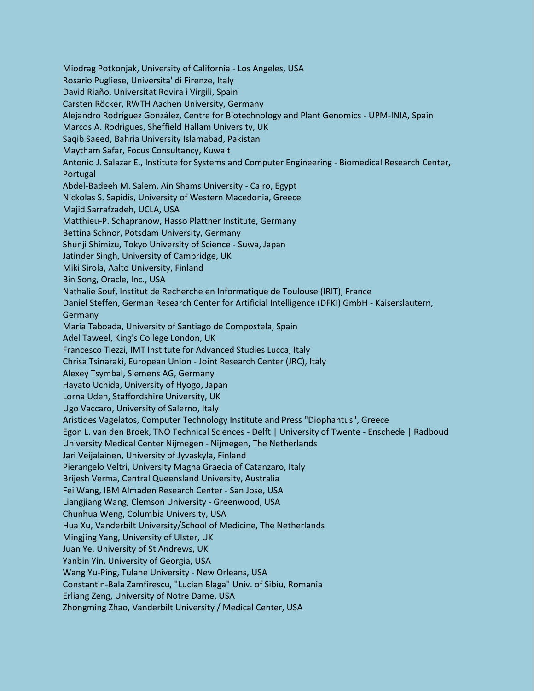Miodrag Potkonjak, University of California - Los Angeles, USA Rosario Pugliese, Universita' di Firenze, Italy David Riaño, Universitat Rovira i Virgili, Spain Carsten Röcker, RWTH Aachen University, Germany Alejandro Rodríguez González, Centre for Biotechnology and Plant Genomics - UPM-INIA, Spain Marcos A. Rodrigues, Sheffield Hallam University, UK Saqib Saeed, Bahria University Islamabad, Pakistan Maytham Safar, Focus Consultancy, Kuwait Antonio J. Salazar E., Institute for Systems and Computer Engineering - Biomedical Research Center, Portugal Abdel-Badeeh M. Salem, Ain Shams University - Cairo, Egypt Nickolas S. Sapidis, University of Western Macedonia, Greece Majid Sarrafzadeh, UCLA, USA Matthieu-P. Schapranow, Hasso Plattner Institute, Germany Bettina Schnor, Potsdam University, Germany Shunji Shimizu, Tokyo University of Science - Suwa, Japan Jatinder Singh, University of Cambridge, UK Miki Sirola, Aalto University, Finland Bin Song, Oracle, Inc., USA Nathalie Souf, Institut de Recherche en Informatique de Toulouse (IRIT), France Daniel Steffen, German Research Center for Artificial Intelligence (DFKI) GmbH - Kaiserslautern, Germany Maria Taboada, University of Santiago de Compostela, Spain Adel Taweel, King's College London, UK Francesco Tiezzi, IMT Institute for Advanced Studies Lucca, Italy Chrisa Tsinaraki, European Union - Joint Research Center (JRC), Italy Alexey Tsymbal, Siemens AG, Germany Hayato Uchida, University of Hyogo, Japan Lorna Uden, Staffordshire University, UK Ugo Vaccaro, University of Salerno, Italy Aristides Vagelatos, Computer Technology Institute and Press "Diophantus", Greece Egon L. van den Broek, TNO Technical Sciences - Delft | University of Twente - Enschede | Radboud University Medical Center Nijmegen - Nijmegen, The Netherlands Jari Veijalainen, University of Jyvaskyla, Finland Pierangelo Veltri, University Magna Graecia of Catanzaro, Italy Brijesh Verma, Central Queensland University, Australia Fei Wang, IBM Almaden Research Center - San Jose, USA Liangjiang Wang, Clemson University - Greenwood, USA Chunhua Weng, Columbia University, USA Hua Xu, Vanderbilt University/School of Medicine, The Netherlands Mingjing Yang, University of Ulster, UK Juan Ye, University of St Andrews, UK Yanbin Yin, University of Georgia, USA Wang Yu-Ping, Tulane University - New Orleans, USA Constantin-Bala Zamfirescu, "Lucian Blaga" Univ. of Sibiu, Romania Erliang Zeng, University of Notre Dame, USA Zhongming Zhao, Vanderbilt University / Medical Center, USA